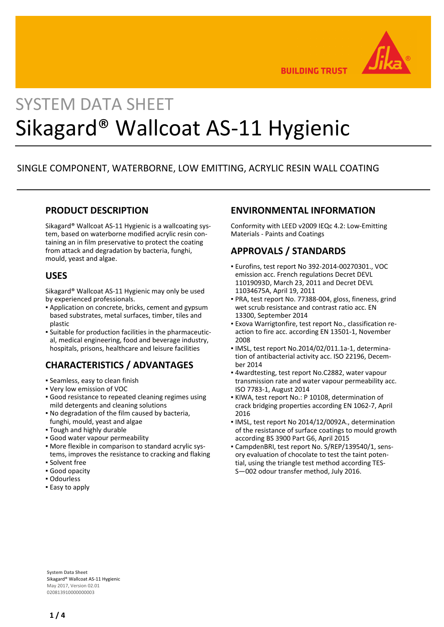

**BUILDING TRUST** 

# SYSTEM DATA SHEET Sikagard® Wallcoat AS-11 Hygienic

# SINGLE COMPONENT, WATERBORNE, LOW EMITTING, ACRYLIC RESIN WALL COATING

#### **PRODUCT DESCRIPTION**

Sikagard® Wallcoat AS-11 Hygienic is a wallcoating system, based on waterborne modified acrylic resin containing an in film preservative to protect the coating from attack and degradation by bacteria, funghi, mould, yeast and algae.

#### **USES**

Sikagard® Wallcoat AS-11 Hygienic may only be used by experienced professionals.

- Application on concrete, bricks, cement and gypsum based substrates, metal surfaces, timber, tiles and plastic
- Suitable for production facilities in the pharmaceutic-▪ al, medical engineering, food and beverage industry, hospitals, prisons, healthcare and leisure facilities

# **CHARACTERISTICS / ADVANTAGES**

- Seamless, easy to clean finish
- Very low emission of VOC
- Good resistance to repeated cleaning regimes using mild detergents and cleaning solutions
- . No degradation of the film caused by bacteria, funghi, mould, yeast and algae
- Tough and highly durable
- Good water vapour permeability
- More flexible in comparison to standard acrylic sys-▪ tems, improves the resistance to cracking and flaking
- Solvent free
- Good opacity
- Odourless
- **Easy to apply**

## **ENVIRONMENTAL INFORMATION**

Conformity with LEED v2009 IEQc 4.2: Low-Emitting Materials - Paints and Coatings

# **APPROVALS / STANDARDS**

- Eurofins, test report No 392-2014-00270301., VOC emission acc. French regulations Decret DEVL 11019093D, March 23, 2011 and Decret DEVL 11034675A, April 19, 2011
- PRA, test report No. 77388-004, gloss, fineness, grind wet scrub resistance and contrast ratio acc. EN 13300, September 2014
- Exova Warrigtonfire, test report No., classification re-▪ action to fire acc. according EN 13501-1, November 2008
- IMSL, test report No.2014/02/011.1a-1, determination of antibacterial activity acc. ISO 22196, December 2014
- 4wardtesting, test report No.C2882, water vapour transmission rate and water vapour permeability acc. ISO 7783-1, August 2014
- KIWA, test report No.: P 10108, determination of crack bridging properties according EN 1062-7, April 2016
- IMSL, test report No 2014/12/0092A., determination of the resistance of surface coatings to mould growth according BS 3900 Part G6, April 2015
- CampdenBRI, test report No. S/REP/139540/1, sens-▪ ory evaluation of chocolate to test the taint potential, using the triangle test method according TES-S—002 odour transfer method, July 2016.

**System Data Sheet** Sikagard® Wallcoat AS-11 Hygienic May 2017, Version 02.01 020813910000000003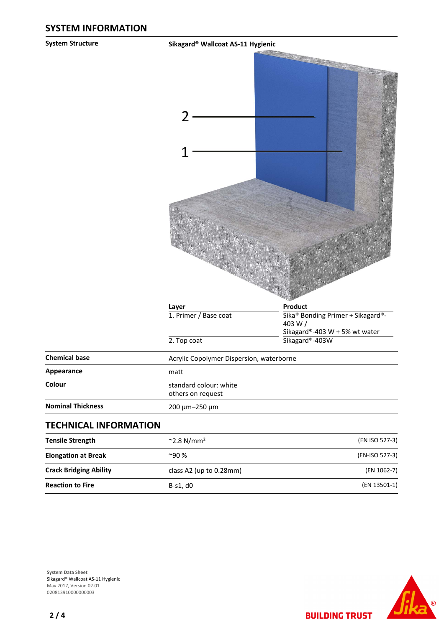**System Structure Sikagard® Wallcoat AS-11 Hygienic**

|                               | Layer                                       | Product                                                                      |
|-------------------------------|---------------------------------------------|------------------------------------------------------------------------------|
|                               | 1. Primer / Base coat                       | Sika® Bonding Primer + Sikagard®-<br>403 W/<br>Sikagard®-403 W + 5% wt water |
|                               | 2. Top coat                                 | Sikagard®-403W                                                               |
| <b>Chemical base</b>          | Acrylic Copolymer Dispersion, waterborne    |                                                                              |
| Appearance                    | matt                                        |                                                                              |
| Colour                        | standard colour: white<br>others on request |                                                                              |
| <b>Nominal Thickness</b>      | 200 μm-250 μm                               |                                                                              |
| <b>TECHNICAL INFORMATION</b>  |                                             |                                                                              |
| <b>Tensile Strength</b>       | $~2.8$ N/mm <sup>2</sup>                    | (EN ISO 527-3)                                                               |
| <b>Elongation at Break</b>    | $^{\sim}$ 90 %                              | (EN-ISO 527-3)                                                               |
| <b>Crack Bridging Ability</b> | class A2 (up to 0.28mm)                     | (EN 1062-7)                                                                  |
| <b>Reaction to Fire</b>       | B-s1, d0                                    | (EN 13501-1)                                                                 |



**System Data Sheet** Sikagard® Wallcoat AS-11 Hygienic May 2017, Version 02.01 0208139100000000003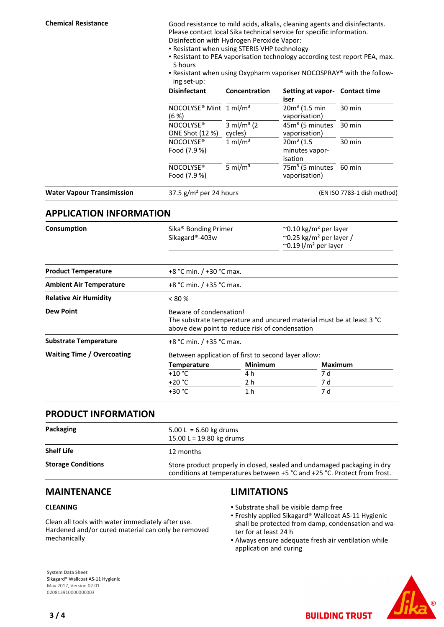**Chemical Resistance** Good resistance to mild acids, alkalis, cleaning agents and disinfectants. Please contact local Sika technical service for specific information. Disinfection with Hydrogen Peroxide Vapor:

- Resistant when using STERIS VHP technology
- Resistant to PEA vaporisation technology according test report PEA, max. 5 hours
- Resistant when using Oxypharm vaporiser NOCOSPRAY® with the follow-▪ ing set-up:

|                                   | $11.72$ and $1.72$                             |                                                    |                                                                                                                            |                             |  |
|-----------------------------------|------------------------------------------------|----------------------------------------------------|----------------------------------------------------------------------------------------------------------------------------|-----------------------------|--|
| $(6 \%)$                          | <b>Disinfectant</b>                            | Concentration<br>$3 \text{ ml/m}^3$ (2)<br>cycles) | Setting at vapor- Contact time<br>iser<br>$20m3$ (1.5 min<br>vaporisation)<br>45m <sup>3</sup> (5 minutes<br>vaporisation) | 30 min<br>$30 \text{ min}$  |  |
|                                   | NOCOLYSE <sup>®</sup> Mint 1 ml/m <sup>3</sup> |                                                    |                                                                                                                            |                             |  |
|                                   | NOCOLYSE <sup>®</sup><br>ONE Shot (12 %)       |                                                    |                                                                                                                            |                             |  |
|                                   | NOCOLYSE <sup>®</sup><br>Food (7.9 %)          | $1 \text{ ml/m}^3$                                 | $20m3$ (1.5)<br>minutes vapor-<br>isation                                                                                  | 30 min                      |  |
|                                   | NOCOLYSE <sup>®</sup><br>Food (7.9 %)          | 5 ml/ $m3$                                         | 75m <sup>3</sup> (5 minutes<br>vaporisation)                                                                               | 60 min                      |  |
| <b>Water Vapour Transimission</b> | 37.5 $g/m^2$ per 24 hours                      |                                                    |                                                                                                                            | (EN ISO 7783-1 dish method) |  |

#### **APPLICATION INFORMATION**

| Consumption                       | Sika <sup>®</sup> Bonding Primer<br>Sikagard®-403w |                                                                                                                                                   | $\sim$ 0.10 kg/m <sup>2</sup> per layer<br>$\sim$ 0.25 kg/m <sup>2</sup> per layer /<br>$\sim$ 0.19 l/m <sup>2</sup> per layer |  |  |
|-----------------------------------|----------------------------------------------------|---------------------------------------------------------------------------------------------------------------------------------------------------|--------------------------------------------------------------------------------------------------------------------------------|--|--|
| <b>Product Temperature</b>        | +8 °C min. / +30 °C max.                           |                                                                                                                                                   |                                                                                                                                |  |  |
| <b>Ambient Air Temperature</b>    |                                                    | +8 °C min. / +35 °C max.                                                                                                                          |                                                                                                                                |  |  |
| <b>Relative Air Humidity</b>      | $< 80\%$                                           |                                                                                                                                                   |                                                                                                                                |  |  |
| <b>Dew Point</b>                  |                                                    | Beware of condensation!<br>The substrate temperature and uncured material must be at least 3 °C<br>above dew point to reduce risk of condensation |                                                                                                                                |  |  |
| <b>Substrate Temperature</b>      |                                                    | +8 °C min. / +35 °C max.                                                                                                                          |                                                                                                                                |  |  |
| <b>Waiting Time / Overcoating</b> |                                                    | Between application of first to second layer allow:                                                                                               |                                                                                                                                |  |  |
|                                   | <b>Temperature</b>                                 | <b>Minimum</b>                                                                                                                                    | <b>Maximum</b>                                                                                                                 |  |  |
|                                   | +10 °C                                             | 4 h                                                                                                                                               | 7 d                                                                                                                            |  |  |
|                                   | +20 °C                                             | 2 h                                                                                                                                               | 7 d                                                                                                                            |  |  |
|                                   | +30 °C                                             | 1 h                                                                                                                                               | 7 d                                                                                                                            |  |  |

#### **PRODUCT INFORMATION**

| Packaging                 | $5.00 L = 6.60 kg$ drums<br>15.00 L = 19.80 kg drums                                                                                                |
|---------------------------|-----------------------------------------------------------------------------------------------------------------------------------------------------|
| <b>Shelf Life</b>         | 12 months                                                                                                                                           |
| <b>Storage Conditions</b> | Store product properly in closed, sealed and undamaged packaging in dry<br>conditions at temperatures between +5 °C and +25 °C. Protect from frost. |

#### **MAINTENANCE**

#### **CLEANING**

Clean all tools with water immediately after use. Hardened and/or cured material can only be removed mechanically

## **LIMITATIONS**

- Substrate shall be visible damp free
- **Freshly applied Sikagard® Wallcoat AS-11 Hygienic** shall be protected from damp, condensation and water for at least 24 h
- Always ensure adequate fresh air ventilation while application and curing

**BUILDING TRUST** 

**System Data Sheet** Sikagard® Wallcoat AS-11 Hygienic May 2017, Version 02.01 020813910000000003